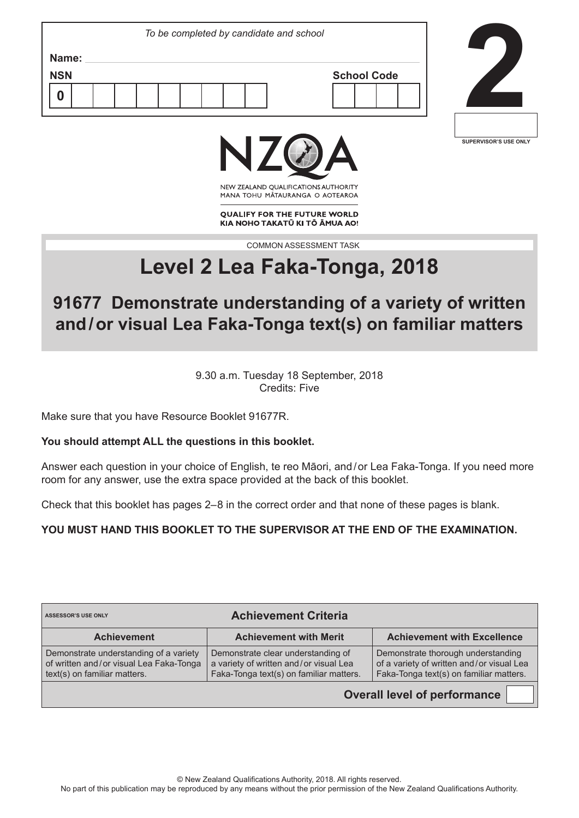|                     | To be completed by candidate and school |  |
|---------------------|-----------------------------------------|--|
| Name:<br><b>NSN</b> | <b>School Code</b>                      |  |
| O                   |                                         |  |
|                     |                                         |  |



╜



NEW ZEALAND OUALIFICATIONS AUTHORITY MANA TOHU MATAURANGA O AOTEAROA

**QUALIFY FOR THE FUTURE WORLD** KIA NOHO TAKATŪ KI TŌ ĀMUA AO!

COMMON ASSESSMENT TASK

# **Level 2 Lea Faka-Tonga, 2018**

## **91677 Demonstrate understanding of a variety of written and/or visual Lea Faka-Tonga text(s) on familiar matters**

9.30 a.m. Tuesday 18 September, 2018 Credits: Five

Make sure that you have Resource Booklet 91677R.

#### **You should attempt ALL the questions in this booklet.**

Answer each question in your choice of English, te reo Māori, and / or Lea Faka-Tonga. If you need more room for any answer, use the extra space provided at the back of this booklet.

Check that this booklet has pages 2–8 in the correct order and that none of these pages is blank.

**YOU MUST HAND THIS BOOKLET TO THE SUPERVISOR AT THE END OF THE EXAMINATION.**

| <b>ASSESSOR'S USE ONLY</b>                                                                                        | <b>Achievement Criteria</b>                                                                                             |                                                                                                                            |
|-------------------------------------------------------------------------------------------------------------------|-------------------------------------------------------------------------------------------------------------------------|----------------------------------------------------------------------------------------------------------------------------|
| <b>Achievement</b>                                                                                                | <b>Achievement with Merit</b>                                                                                           | <b>Achievement with Excellence</b>                                                                                         |
| Demonstrate understanding of a variety<br>of written and/or visual Lea Faka-Tonga<br>text(s) on familiar matters. | Demonstrate clear understanding of<br>a variety of written and/or visual Lea<br>Faka-Tonga text(s) on familiar matters. | Demonstrate thorough understanding<br>of a variety of written and/or visual Lea<br>Faka-Tonga text(s) on familiar matters. |
|                                                                                                                   |                                                                                                                         | <b>Overall level of performance</b>                                                                                        |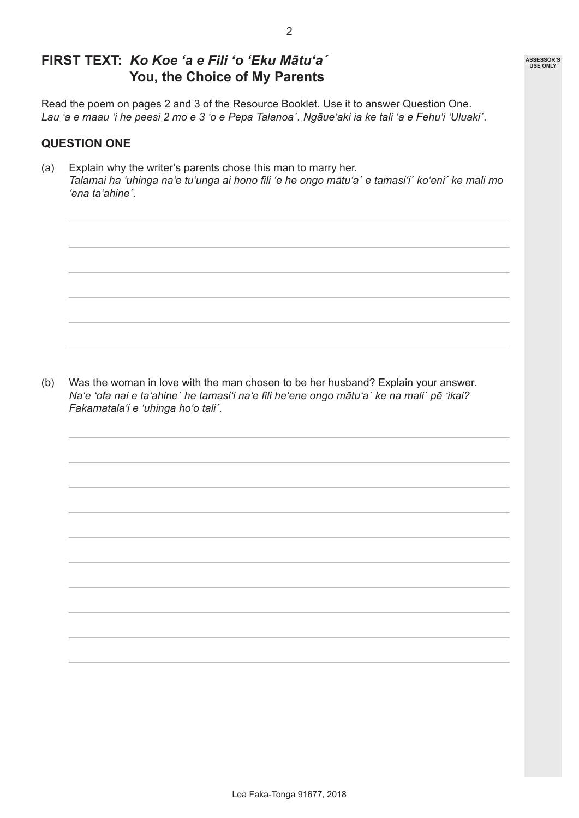## **FIRST TEXT:** *Ko Koe 'a e Fili 'o 'Eku Mātu'a´* **You, the Choice of My Parents**

Read the poem on pages 2 and 3 of the Resource Booklet. Use it to answer Question One. *Lau 'a e maau 'i he peesi 2 mo e 3 'o e Pepa Talanoa´. Ngāue'aki ia ke tali 'a e Fehu'i 'Uluaki´.*

#### **QUESTION ONE**

(a) Explain why the writer's parents chose this man to marry her. *Talamai ha 'uhinga na'e tu'unga ai hono fili 'e he ongo mātu'a´ e tamasi'i´ ko'eni´ ke mali mo 'ena ta'ahine´.*

(b) Was the woman in love with the man chosen to be her husband? Explain your answer. *Na'e 'ofa nai e ta'ahine´ he tamasi'i na'e fili he'ene ongo mātu'a´ ke na mali´ pē 'ikai? Fakamatala'i e 'uhinga ho'o tali´.*

| <b>ASSESSOR'S</b> |
|-------------------|
| <b>USE ONLY</b>   |
|                   |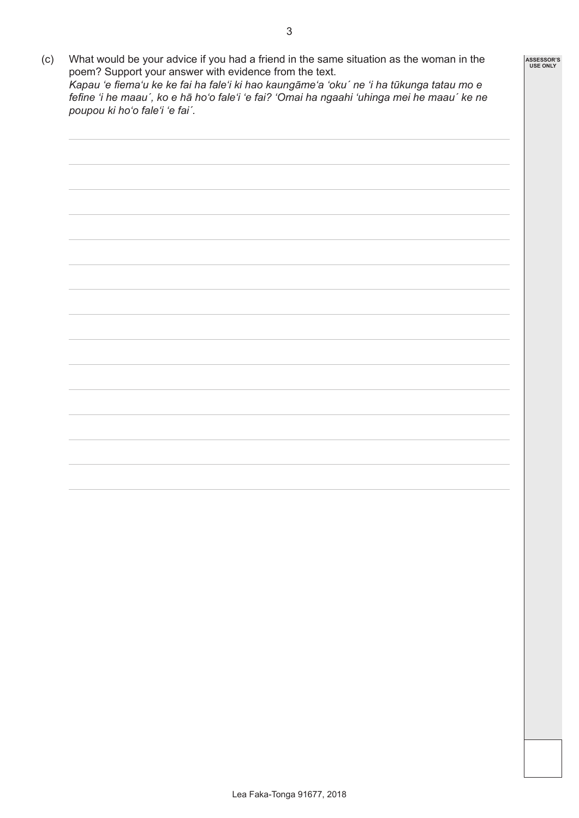(c) What would be your advice if you had a friend in the same situation as the woman in the poem? Support your answer with evidence from the text. *Kapau 'e fiema'u ke ke fai ha fale'i ki hao kaungāme'a 'oku´ ne 'i ha tūkunga tatau mo e fefine 'i he maau´, ko e hā ho'o fale'i 'e fai? 'Omai ha ngaahi 'uhinga mei he maau´ ke ne poupou ki ho'o fale'i 'e fai´.*



**ASSESSOR'S USE ONLY**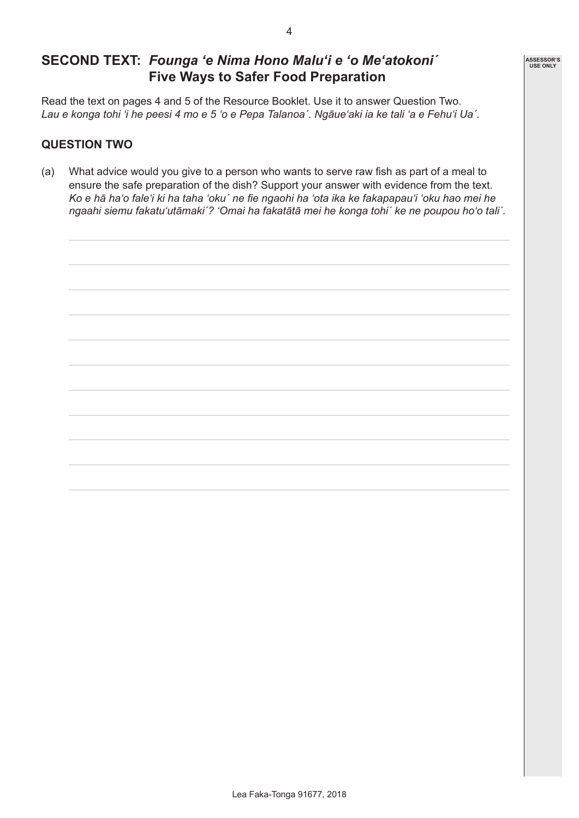## **SECOND TEXT:** *Founga 'e Nima Hono Malu'i e 'o Me'atokoni´* **Five Ways to Safer Food Preparation**

Read the text on pages 4 and 5 of the Resource Booklet. Use it to answer Question Two. *Lau e konga tohi 'i he peesi 4 mo e 5 'o e Pepa Talanoa´. Ngāue'aki ia ke tali 'a e Fehu'i Ua´.*

#### **QUESTION TWO**

(a) What advice would you give to a person who wants to serve raw fish as part of a meal to ensure the safe preparation of the dish? Support your answer with evidence from the text. *Ko e hā ha'o fale'i ki ha taha 'oku´ ne fie ngaohi ha 'ota ika ke fakapapau'i 'oku hao mei he ngaahi siemu fakatu'utāmaki´? 'Omai ha fakatātā mei he konga tohi´ ke ne poupou ho'o tali´.* 



**ASSESSOR'S USE ONLY**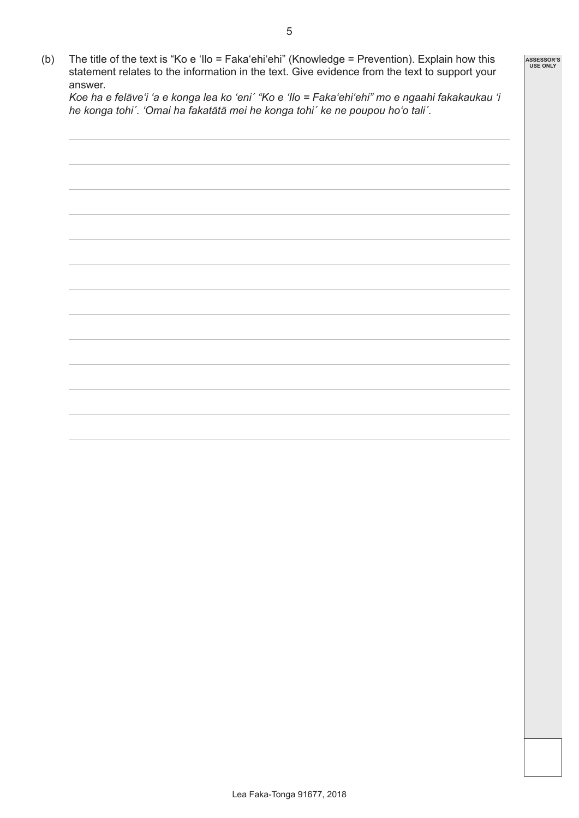(b) The title of the text is "Ko e 'Ilo = Faka'ehi'ehi" (Knowledge = Prevention). Explain how this statement relates to the information in the text. Give evidence from the text to support your answer.

*Koe ha e felāve'i 'a e konga lea ko 'eni´ "Ko e 'Ilo = Faka'ehi'ehi" mo e ngaahi fakakaukau 'i he konga tohi´. 'Omai ha fakatātā mei he konga tohi´ ke ne poupou ho'o tali´.*

## **ASSESSOR'S USE ONLY**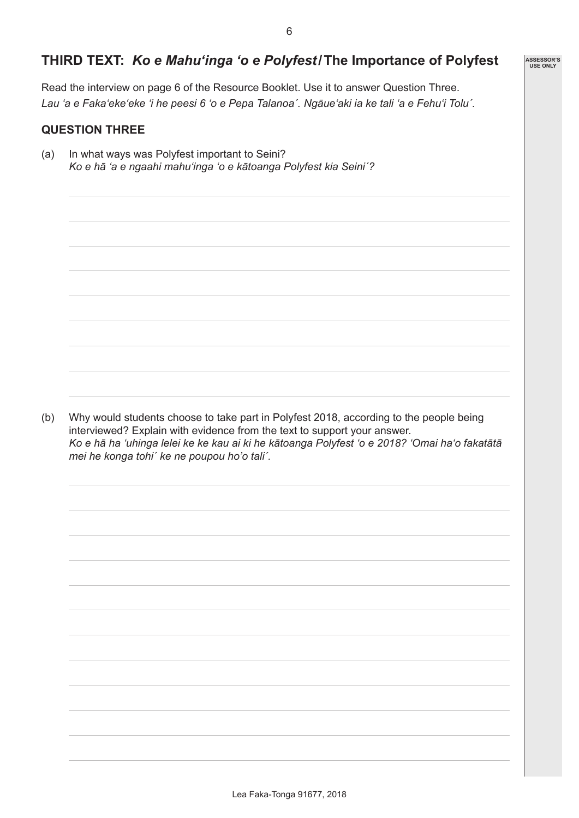## **THIRD TEXT:** *Ko e Mahu'inga 'o e Polyfest***/The Importance of Polyfest**

Read the interview on page 6 of the Resource Booklet. Use it to answer Question Three. *Lau 'a e Faka'eke'eke 'i he peesi 6 'o e Pepa Talanoa´. Ngāue'aki ia ke tali 'a e Fehu'i Toluˊ.*

## **QUESTION THREE**

(a) In what ways was Polyfest important to Seini? *Ko e hā 'a e ngaahi mahu'inga 'o e kātoanga Polyfest kia Seiniˊ?*

(b) Why would students choose to take part in Polyfest 2018, according to the people being interviewed? Explain with evidence from the text to support your answer. *Ko e hā ha 'uhinga lelei ke ke kau ai ki he kātoanga Polyfest 'o e 2018? 'Omai ha'o fakatātā mei he konga tohiˊ ke ne poupou ho'o taliˊ.*

| <b>ASSESSOR'S</b> |
|-------------------|
| <b>USE ONLY</b>   |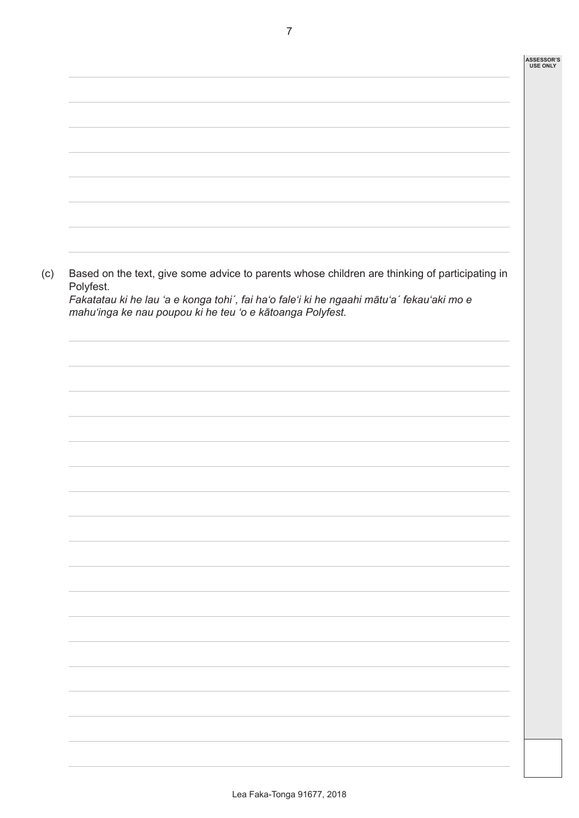| Polyfest. | Based on the text, give some advice to parents whose children are thinking of participating in |
|-----------|------------------------------------------------------------------------------------------------|
|           | Fakatatau ki he lau 'a e konga tohi', fai ha'o fale'i ki he ngaahi mātu'a' fekau'aki mo e      |
|           | mahu'inga ke nau poupou ki he teu 'o e kātoanga Polyfest.                                      |
|           |                                                                                                |
|           |                                                                                                |
|           |                                                                                                |
|           |                                                                                                |
|           |                                                                                                |
|           |                                                                                                |
|           |                                                                                                |
|           |                                                                                                |
|           |                                                                                                |
|           |                                                                                                |
|           |                                                                                                |
|           |                                                                                                |
|           |                                                                                                |
|           |                                                                                                |
|           |                                                                                                |
|           |                                                                                                |
|           |                                                                                                |
|           |                                                                                                |
|           |                                                                                                |
|           |                                                                                                |
|           |                                                                                                |
|           |                                                                                                |